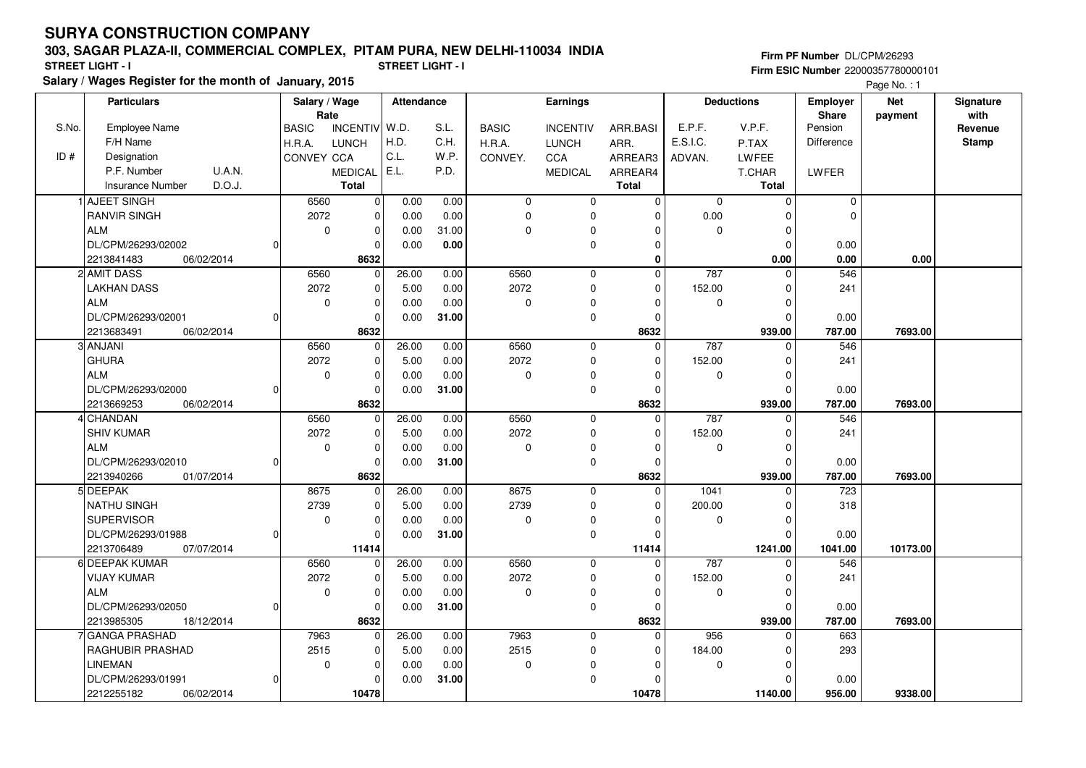#### **303, SAGAR PLAZA-II, COMMERCIAL COMPLEX, PITAM PURA, NEW DELHI-110034 INDIA**

**Salary / Wages Register for the month of January, 2015 STREET LIGHT - I STREET LIGHT - I**

**Firm PF Number** DL/CPM/26293 **Firm ESIC Number** 22000357780000101

Page No. : 1

|       | <b>Particulars</b>                             |   | Salary / Wage        |                                | Attendance   |       | Earnings     |                         |                         | <b>Deductions</b> |                        | <b>Employer</b>   | <b>Net</b> | Signature       |
|-------|------------------------------------------------|---|----------------------|--------------------------------|--------------|-------|--------------|-------------------------|-------------------------|-------------------|------------------------|-------------------|------------|-----------------|
| S.No. | <b>Employee Name</b>                           |   | Rate<br><b>BASIC</b> | <b>INCENTIV</b>                | W.D.         | S.L.  | <b>BASIC</b> | <b>INCENTIV</b>         | ARR.BASI                | E.P.F.            | V.P.F.                 | Share<br>Pension  | payment    | with<br>Revenue |
|       | F/H Name                                       |   | H.R.A.               | <b>LUNCH</b>                   | H.D.         | C.H.  | H.R.A.       | <b>LUNCH</b>            | ARR.                    | E.S.I.C.          | P.TAX                  | <b>Difference</b> |            | <b>Stamp</b>    |
| ID#   | Designation                                    |   | CONVEY CCA           |                                | C.L.         | W.P.  | CONVEY.      | CCA                     | ARREAR3                 | ADVAN.            | <b>LWFEE</b>           |                   |            |                 |
|       | P.F. Number<br>U.A.N.                          |   |                      |                                | E.L.         | P.D.  |              |                         |                         |                   |                        |                   |            |                 |
|       | D.O.J.<br><b>Insurance Number</b>              |   |                      | <b>MEDICAL</b><br><b>Total</b> |              |       |              | <b>MEDICAL</b>          | ARREAR4<br><b>Total</b> |                   | T.CHAR<br><b>Total</b> | LWFER             |            |                 |
|       | AJEET SINGH                                    |   |                      |                                |              | 0.00  |              |                         | $\mathbf 0$             |                   |                        | $\mathbf 0$       |            |                 |
|       | <b>RANVIR SINGH</b>                            |   | 6560<br>2072         | 0<br>0                         | 0.00<br>0.00 | 0.00  | 0<br>0       | 0                       | $\Omega$                | 0<br>0.00         | $\mathbf 0$            | $\Omega$          |            |                 |
|       | <b>ALM</b>                                     |   | $\mathbf 0$          | $\mathbf 0$                    |              | 31.00 | 0            | $\mathbf 0$<br>$\Omega$ | 0                       | 0                 | 0<br>$\mathbf 0$       |                   |            |                 |
|       |                                                |   |                      | $\Omega$                       | 0.00         |       |              |                         | 0                       |                   |                        |                   |            |                 |
|       | DL/CPM/26293/02002<br>06/02/2014               |   |                      |                                | 0.00         | 0.00  |              | $\mathbf 0$             | $\bf{0}$                |                   | $\mathbf 0$            | 0.00              | 0.00       |                 |
|       | 2213841483<br>2 AMIT DASS                      |   | 6560                 | 8632                           | 26.00        | 0.00  | 6560         |                         | $\mathbf 0$             | 787               | 0.00<br>$\mathbf 0$    | 0.00<br>546       |            |                 |
|       | <b>LAKHAN DASS</b>                             |   | 2072                 | $\mathbf 0$<br>$\Omega$        | 5.00         | 0.00  | 2072         | $\mathbf 0$<br>$\Omega$ | $\Omega$                | 152.00            | $\mathbf 0$            | 241               |            |                 |
|       | <b>ALM</b>                                     |   | 0                    | $\mathbf 0$                    |              |       |              | $\mathbf 0$             | $\Omega$                | $\mathbf 0$       | $\mathbf 0$            |                   |            |                 |
|       |                                                |   |                      | $\Omega$                       | 0.00         | 0.00  | 0            |                         | $\Omega$                |                   | $\Omega$               |                   |            |                 |
|       | DL/CPM/26293/02001<br>2213683491<br>06/02/2014 |   |                      | 8632                           | 0.00         | 31.00 |              | $\mathbf 0$             | 8632                    |                   | 939.00                 | 0.00<br>787.00    | 7693.00    |                 |
|       | 3 ANJANI                                       |   | 6560                 | $\Omega$                       | 26.00        | 0.00  | 6560         | $\mathbf 0$             | $\mathbf 0$             | 787               | $\mathbf 0$            | 546               |            |                 |
|       | <b>GHURA</b>                                   |   | 2072                 | $\Omega$                       | 5.00         | 0.00  | 2072         | $\Omega$                | $\Omega$                | 152.00            | $\mathbf 0$            | 241               |            |                 |
|       | <b>ALM</b>                                     |   | 0                    | $\mathbf 0$                    | 0.00         | 0.00  | 0            | $\Omega$                | $\Omega$                | 0                 | $\mathbf 0$            |                   |            |                 |
|       | DL/CPM/26293/02000                             |   |                      | $\mathbf 0$                    | 0.00         | 31.00 |              | $\mathbf 0$             | $\Omega$                |                   | $\Omega$               | 0.00              |            |                 |
|       | 2213669253<br>06/02/2014                       |   |                      | 8632                           |              |       |              |                         | 8632                    |                   | 939.00                 | 787.00            | 7693.00    |                 |
|       | 4 CHANDAN                                      |   | 6560                 | $\mathbf 0$                    | 26.00        | 0.00  | 6560         | $\mathbf 0$             | $\Omega$                | 787               | $\Omega$               | 546               |            |                 |
|       | <b>SHIV KUMAR</b>                              |   | 2072                 | $\Omega$                       | 5.00         | 0.00  | 2072         | $\mathbf 0$             | $\Omega$                | 152.00            | $\Omega$               | 241               |            |                 |
|       | <b>ALM</b>                                     |   | 0                    | $\Omega$                       | 0.00         | 0.00  | 0            | $\mathbf 0$             | $\Omega$                | $\mathbf 0$       | $\mathbf 0$            |                   |            |                 |
|       | DL/CPM/26293/02010                             |   |                      | $\mathbf 0$                    | 0.00         | 31.00 |              | $\mathbf 0$             | $\Omega$                |                   | $\Omega$               | 0.00              |            |                 |
|       | 2213940266<br>01/07/2014                       |   |                      | 8632                           |              |       |              |                         | 8632                    |                   | 939.00                 | 787.00            | 7693.00    |                 |
|       | 5 DEEPAK                                       |   | 8675                 | 0                              | 26.00        | 0.00  | 8675         | $\Omega$                | $\Omega$                | 1041              | $\Omega$               | 723               |            |                 |
|       | <b>NATHU SINGH</b>                             |   | 2739                 | $\Omega$                       | 5.00         | 0.00  | 2739         | $\Omega$                | $\Omega$                | 200.00            | $\Omega$               | 318               |            |                 |
|       | <b>SUPERVISOR</b>                              |   | $\mathbf 0$          | $\mathbf 0$                    | 0.00         | 0.00  | 0            | $\Omega$                | $\Omega$                | 0                 | $\mathbf 0$            |                   |            |                 |
|       | DL/CPM/26293/01988                             | O |                      | $\Omega$                       | 0.00         | 31.00 |              | $\mathbf 0$             | $\Omega$                |                   | $\overline{0}$         | 0.00              |            |                 |
|       | 2213706489<br>07/07/2014                       |   |                      | 11414                          |              |       |              |                         | 11414                   |                   | 1241.00                | 1041.00           | 10173.00   |                 |
|       | 6 DEEPAK KUMAR                                 |   | 6560                 | $\Omega$                       | 26.00        | 0.00  | 6560         | $\Omega$                | $\Omega$                | 787               | $\Omega$               | 546               |            |                 |
|       | <b>VIJAY KUMAR</b>                             |   | 2072                 | $\Omega$                       | 5.00         | 0.00  | 2072         | $\mathbf 0$             | $\Omega$                | 152.00            | $\mathbf 0$            | 241               |            |                 |
|       | <b>ALM</b>                                     |   | $\mathbf 0$          | $\mathbf 0$                    | 0.00         | 0.00  | 0            | 0                       | $\Omega$                | 0                 | $\mathbf 0$            |                   |            |                 |
|       | DL/CPM/26293/02050                             |   |                      | $\Omega$                       | 0.00         | 31.00 |              | $\mathbf 0$             | $\Omega$                |                   | $\Omega$               | 0.00              |            |                 |
|       | 18/12/2014<br>2213985305                       |   |                      | 8632                           |              |       |              |                         | 8632                    |                   | 939.00                 | 787.00            | 7693.00    |                 |
|       | 7 GANGA PRASHAD                                |   | 7963                 | $\Omega$                       | 26.00        | 0.00  | 7963         | $\mathbf 0$             | $\Omega$                | 956               | $\Omega$               | 663               |            |                 |
|       | RAGHUBIR PRASHAD                               |   | 2515                 | $\mathbf 0$                    | 5.00         | 0.00  | 2515         | 0                       | 0                       | 184.00            | 0                      | 293               |            |                 |
|       | <b>LINEMAN</b>                                 |   | 0                    | $\mathbf 0$                    | 0.00         | 0.00  | 0            | $\Omega$                | $\Omega$                | 0                 | $\mathbf 0$            |                   |            |                 |
|       | DL/CPM/26293/01991                             |   |                      | $\Omega$                       | 0.00         | 31.00 |              | $\Omega$                |                         |                   | $\Omega$               | 0.00              |            |                 |
|       | 2212255182<br>06/02/2014                       |   |                      | 10478                          |              |       |              |                         | 10478                   |                   | 1140.00                | 956.00            | 9338.00    |                 |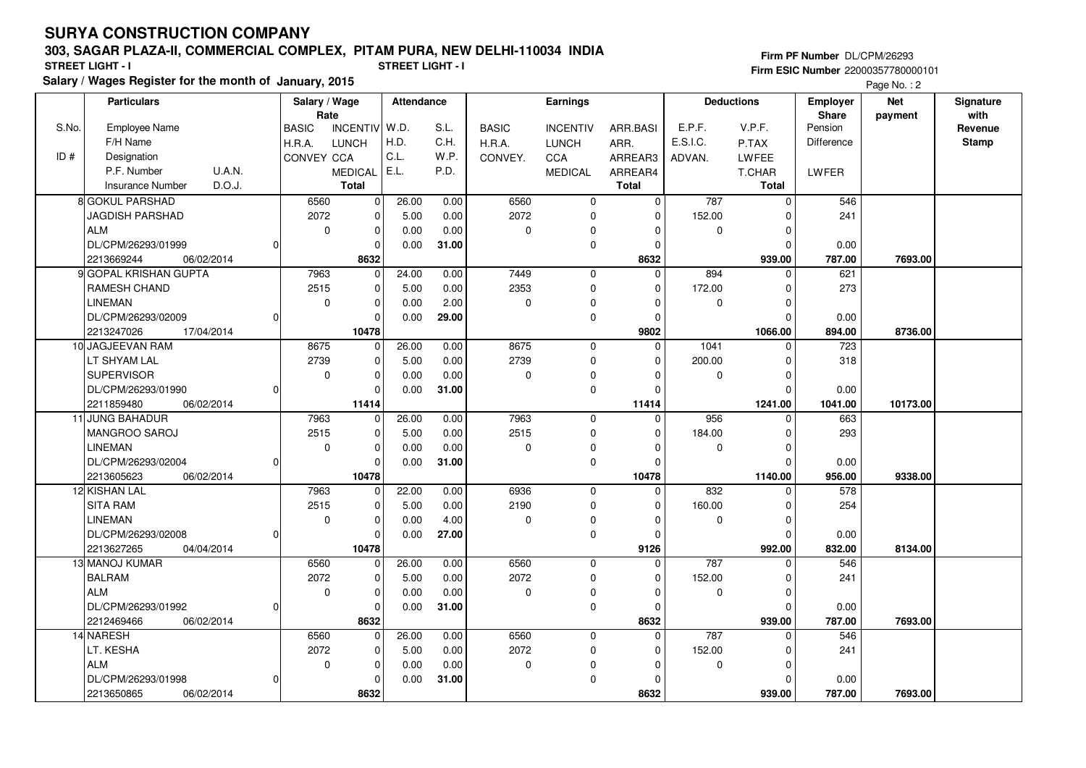#### **303, SAGAR PLAZA-II, COMMERCIAL COMPLEX, PITAM PURA, NEW DELHI-110034 INDIA**

**Salary / Wages Register for the month of January, 2015 STREET LIGHT - I STREET LIGHT - I**

**Firm PF Number** DL/CPM/26293 **Firm ESIC Number** 22000357780000101

Page No.: 2

|       | <b>Particulars</b>                | Salary / Wage                   |             | Attendance |       | Earnings     |                 |              | <b>Deductions</b> |              | <b>Employer</b> | <b>Net</b> | Signature |
|-------|-----------------------------------|---------------------------------|-------------|------------|-------|--------------|-----------------|--------------|-------------------|--------------|-----------------|------------|-----------|
|       |                                   | Rate                            |             |            |       |              |                 |              |                   |              | Share           | payment    | with      |
| S.No. | Employee Name                     | <b>INCENTIV</b><br><b>BASIC</b> |             | W.D.       | S.L.  | <b>BASIC</b> | <b>INCENTIV</b> | ARR.BASI     | E.P.F.            | V.P.F.       | Pension         |            | Revenue   |
|       | F/H Name                          | H.R.A.<br>LUNCH                 |             | H.D.       | C.H.  | H.R.A.       | <b>LUNCH</b>    | ARR.         | E.S.I.C.          | P.TAX        | Difference      |            | Stamp     |
| ID#   | Designation                       | CONVEY CCA                      |             | C.L.       | W.P.  | CONVEY.      | <b>CCA</b>      | ARREAR3      | ADVAN.            | LWFEE        |                 |            |           |
|       | P.F. Number<br><b>U.A.N.</b>      | <b>MEDICAL</b>                  |             | E.L.       | P.D.  |              | <b>MEDICAL</b>  | ARREAR4      |                   | T.CHAR       | LWFER           |            |           |
|       | D.O.J.<br><b>Insurance Number</b> | <b>Total</b>                    |             |            |       |              |                 | <b>Total</b> |                   | <b>Total</b> |                 |            |           |
|       | 8 GOKUL PARSHAD                   | 6560                            | $\mathbf 0$ | 26.00      | 0.00  | 6560         | 0               | $\mathbf 0$  | 787               | $\mathbf 0$  | 546             |            |           |
|       | JAGDISH PARSHAD                   | 2072                            | $\mathbf 0$ | 5.00       | 0.00  | 2072         | 0               | 0            | 152.00            | 0            | 241             |            |           |
|       | <b>ALM</b>                        | $\mathbf 0$                     | $\mathbf 0$ | 0.00       | 0.00  | 0            | $\Omega$        | $\Omega$     | $\Omega$          | $\Omega$     |                 |            |           |
|       | DL/CPM/26293/01999                |                                 | $\Omega$    | 0.00       | 31.00 |              | $\mathbf 0$     | $\Omega$     |                   | $\Omega$     | 0.00            |            |           |
|       | 06/02/2014<br>2213669244          |                                 | 8632        |            |       |              |                 | 8632         |                   | 939.00       | 787.00          | 7693.00    |           |
|       | 9 GOPAL KRISHAN GUPTA             | 7963                            | 0           | 24.00      | 0.00  | 7449         | $\mathsf 0$     | $\Omega$     | 894               | 0            | 621             |            |           |
|       | RAMESH CHAND                      | 2515                            | $\Omega$    | 5.00       | 0.00  | 2353         | $\mathbf 0$     | $\Omega$     | 172.00            | $\Omega$     | 273             |            |           |
|       | <b>LINEMAN</b>                    | $\mathbf 0$                     | $\mathbf 0$ | 0.00       | 2.00  | 0            | $\mathbf 0$     | $\Omega$     | $\mathbf 0$       | $\mathbf 0$  |                 |            |           |
|       | DL/CPM/26293/02009                |                                 | 0           | 0.00       | 29.00 |              | $\mathbf 0$     | $\Omega$     |                   | $\mathbf 0$  | 0.00            |            |           |
|       | 2213247026<br>17/04/2014          |                                 | 10478       |            |       |              |                 | 9802         |                   | 1066.00      | 894.00          | 8736.00    |           |
|       | 10 JAGJEEVAN RAM                  | 8675                            | 0           | 26.00      | 0.00  | 8675         | $\mathbf 0$     | $\mathbf 0$  | 1041              | $\mathbf 0$  | 723             |            |           |
|       | LT SHYAM LAL                      | 2739                            | $\Omega$    | 5.00       | 0.00  | 2739         | $\mathbf 0$     | $\Omega$     | 200.00            | $\mathbf 0$  | 318             |            |           |
|       | <b>SUPERVISOR</b>                 | 0                               | $\mathbf 0$ | 0.00       | 0.00  | 0            | 0               | $\Omega$     | 0                 | $\mathbf 0$  |                 |            |           |
|       | DL/CPM/26293/01990                |                                 | $\mathbf 0$ | 0.00       | 31.00 |              | $\mathbf 0$     | $\Omega$     |                   | $\Omega$     | 0.00            |            |           |
|       | 2211859480<br>06/02/2014          |                                 | 11414       |            |       |              |                 | 11414        |                   | 1241.00      | 1041.00         | 10173.00   |           |
|       | 11 JUNG BAHADUR                   | 7963                            | 0           | 26.00      | 0.00  | 7963         | $\mathbf 0$     | $\Omega$     | 956               | $\mathbf 0$  | 663             |            |           |
|       | MANGROO SAROJ                     | 2515                            | $\Omega$    | 5.00       | 0.00  | 2515         | $\mathbf 0$     | $\Omega$     | 184.00            | $\Omega$     | 293             |            |           |
|       | LINEMAN                           | $\mathbf 0$                     | $\mathbf 0$ | 0.00       | 0.00  | 0            | 0               | $\Omega$     | $\mathbf 0$       | $\mathbf 0$  |                 |            |           |
|       | DL/CPM/26293/02004                |                                 | $\Omega$    | 0.00       | 31.00 |              | $\mathbf 0$     | $\Omega$     |                   | $\Omega$     | 0.00            |            |           |
|       | 2213605623<br>06/02/2014          |                                 | 10478       |            |       |              |                 | 10478        |                   | 1140.00      | 956.00          | 9338.00    |           |
|       | 12 KISHAN LAL                     | 7963                            | $\Omega$    | 22.00      | 0.00  | 6936         | $\mathbf 0$     | $\Omega$     | 832               | $\Omega$     | 578             |            |           |
|       | <b>SITA RAM</b>                   | 2515                            | $\Omega$    | 5.00       | 0.00  | 2190         | 0               | $\Omega$     | 160.00            | $\Omega$     | 254             |            |           |
|       | <b>LINEMAN</b>                    | $\mathbf 0$                     | $\mathbf 0$ | 0.00       | 4.00  | 0            | 0               | $\Omega$     | 0                 | 0            |                 |            |           |
|       | DL/CPM/26293/02008                |                                 | $\Omega$    | 0.00       | 27.00 |              | $\mathbf 0$     | $\Omega$     |                   | $\Omega$     | 0.00            |            |           |
|       | 2213627265<br>04/04/2014          |                                 | 10478       |            |       |              |                 | 9126         |                   | 992.00       | 832.00          | 8134.00    |           |
|       | 13 MANOJ KUMAR                    | 6560                            | $\mathbf 0$ | 26.00      | 0.00  | 6560         | $\mathbf 0$     | $\Omega$     | 787               | 0            | 546             |            |           |
|       | <b>BALRAM</b>                     | 2072                            | 0           | 5.00       | 0.00  | 2072         | 0               | 0            | 152.00            | 0            | 241             |            |           |
|       | <b>ALM</b>                        | $\mathbf 0$                     | $\mathbf 0$ | 0.00       | 0.00  | 0            | $\Omega$        | $\Omega$     | $\mathbf 0$       | $\mathbf 0$  |                 |            |           |
|       | DL/CPM/26293/01992                |                                 | $\Omega$    | 0.00       | 31.00 |              | $\mathbf 0$     | $\Omega$     |                   | $\Omega$     | 0.00            |            |           |
|       | 06/02/2014<br>2212469466          |                                 | 8632        |            |       |              |                 | 8632         |                   | 939.00       | 787.00          | 7693.00    |           |
|       | 14 NARESH                         | 6560                            | $\Omega$    | 26.00      | 0.00  | 6560         | $\pmb{0}$       | $\Omega$     | 787               | $\Omega$     | 546             |            |           |
|       | LT. KESHA                         | 2072                            | $\mathbf 0$ | 5.00       | 0.00  | 2072         | $\mathbf 0$     | $\mathbf 0$  | 152.00            | $\mathbf 0$  | 241             |            |           |
|       | <b>ALM</b>                        | $\mathbf 0$                     | $\mathbf 0$ | 0.00       | 0.00  | 0            | 0               | $\Omega$     | 0                 | $\mathbf 0$  |                 |            |           |
|       | DL/CPM/26293/01998                |                                 | $\Omega$    | 0.00       | 31.00 |              | $\mathbf 0$     | $\Omega$     |                   | $\mathbf 0$  | 0.00            |            |           |
|       | 2213650865<br>06/02/2014          |                                 | 8632        |            |       |              |                 | 8632         |                   | 939.00       | 787.00          | 7693.00    |           |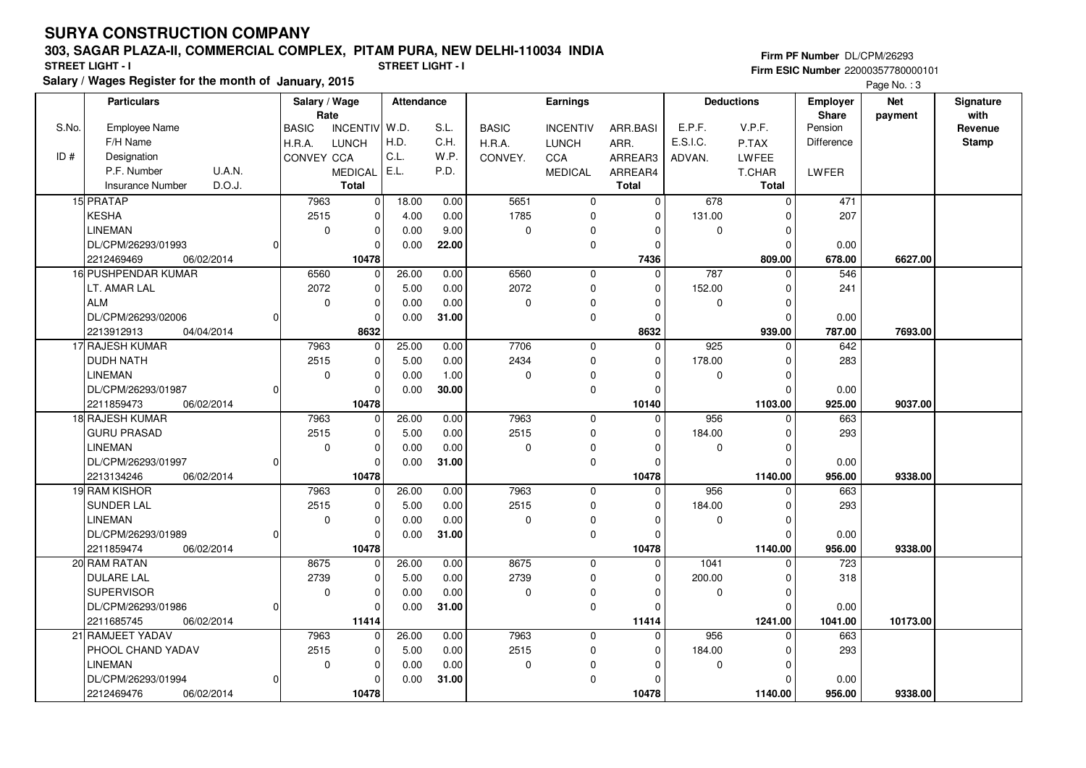#### **303, SAGAR PLAZA-II, COMMERCIAL COMPLEX, PITAM PURA, NEW DELHI-110034 INDIA**

**Salary / Wages Register for the month of January, 2015 STREET LIGHT - I STREET LIGHT - I**

**Firm PF Number** DL/CPM/26293 **Firm ESIC Number** 22000357780000101

Page No. : 3

|       | <b>Particulars</b>                |          | Salary / Wage<br>Rate |                         | <b>Attendance</b> |       | Earnings     |                 |              |          | <b>Deductions</b> | Employer<br><b>Share</b> | <b>Net</b> | Signature<br>with |
|-------|-----------------------------------|----------|-----------------------|-------------------------|-------------------|-------|--------------|-----------------|--------------|----------|-------------------|--------------------------|------------|-------------------|
| S.No. | <b>Employee Name</b>              |          | <b>BASIC</b>          | INCENTIV W.D.           |                   | S.L.  | <b>BASIC</b> | <b>INCENTIV</b> | ARR.BASI     | E.P.F.   | V.P.F.            | Pension                  | payment    | Revenue           |
|       | F/H Name                          |          | H.R.A.                | <b>LUNCH</b>            | H.D.              | C.H.  | H.R.A.       | <b>LUNCH</b>    | ARR.         | E.S.I.C. | P.TAX             | Difference               |            | <b>Stamp</b>      |
| ID#   | Designation                       |          | <b>CONVEY CCA</b>     |                         | C.L.              | W.P.  | CONVEY.      | <b>CCA</b>      | ARREAR3      | ADVAN.   | <b>LWFEE</b>      |                          |            |                   |
|       | U.A.N.<br>P.F. Number             |          |                       | <b>MEDICAL</b>          | E.L.              | P.D.  |              | <b>MEDICAL</b>  | ARREAR4      |          | T.CHAR            | LWFER                    |            |                   |
|       | D.O.J.<br><b>Insurance Number</b> |          |                       | <b>Total</b>            |                   |       |              |                 | <b>Total</b> |          | Total             |                          |            |                   |
|       | 15 PRATAP                         |          | 7963                  | $\overline{\mathbf{0}}$ | 18.00             | 0.00  | 5651         | $\mathbf 0$     | 0            | 678      | $\mathbf 0$       | 471                      |            |                   |
|       | <b>KESHA</b>                      |          | 2515                  | $\pmb{0}$               | 4.00              | 0.00  | 1785         | 0               | $\Omega$     | 131.00   | $\Omega$          | 207                      |            |                   |
|       | <b>LINEMAN</b>                    |          | $\mathbf 0$           | $\overline{0}$          | 0.00              | 9.00  | 0            | $\mathbf 0$     | $\Omega$     | 0        | $\mathbf 0$       |                          |            |                   |
|       | DL/CPM/26293/01993                | 0        |                       | 0                       | 0.00              | 22.00 |              | $\mathbf 0$     | $\Omega$     |          | $\Omega$          | 0.00                     |            |                   |
|       | 2212469469<br>06/02/2014          |          |                       | 10478                   |                   |       |              |                 | 7436         |          | 809.00            | 678.00                   | 6627.00    |                   |
|       | 16 PUSHPENDAR KUMAR               |          | 6560                  | 0                       | 26.00             | 0.00  | 6560         | $\mathbf 0$     | 0            | 787      | 0                 | 546                      |            |                   |
|       | LT. AMAR LAL                      |          | 2072                  | $\pmb{0}$               | 5.00              | 0.00  | 2072         | $\mathbf 0$     | $\Omega$     | 152.00   | $\Omega$          | 241                      |            |                   |
|       | <b>ALM</b>                        |          | $\mathbf 0$           | $\Omega$                | 0.00              | 0.00  | 0            | $\pmb{0}$       | $\Omega$     | 0        | $\Omega$          |                          |            |                   |
|       | DL/CPM/26293/02006                | $\Omega$ |                       | 0                       | 0.00              | 31.00 |              | $\mathbf 0$     | $\Omega$     |          | $\Omega$          | 0.00                     |            |                   |
|       | 2213912913<br>04/04/2014          |          |                       | 8632                    |                   |       |              |                 | 8632         |          | 939.00            | 787.00                   | 7693.00    |                   |
|       | 17 RAJESH KUMAR                   |          | 7963                  | $\pmb{0}$               | 25.00             | 0.00  | 7706         | $\mathbf 0$     | $\Omega$     | 925      | $\Omega$          | 642                      |            |                   |
|       | <b>DUDH NATH</b>                  |          | 2515                  | $\overline{0}$          | 5.00              | 0.00  | 2434         | $\mathbf 0$     | $\Omega$     | 178.00   | $\Omega$          | 283                      |            |                   |
|       | <b>LINEMAN</b>                    |          | $\mathbf 0$           | $\mathbf 0$             | 0.00              | 1.00  | 0            | 0               | $\Omega$     | 0        | $\mathbf 0$       |                          |            |                   |
|       | DL/CPM/26293/01987                | O        |                       | 0                       | 0.00              | 30.00 |              | $\mathbf 0$     | 0            |          | $\Omega$          | 0.00                     |            |                   |
|       | 2211859473<br>06/02/2014          |          |                       | 10478                   |                   |       |              |                 | 10140        |          | 1103.00           | 925.00                   | 9037.00    |                   |
|       | 18 RAJESH KUMAR                   |          | 7963                  | $\mathbf 0$             | 26.00             | 0.00  | 7963         | $\mathbf 0$     | $\Omega$     | 956      | $\Omega$          | 663                      |            |                   |
|       | <b>GURU PRASAD</b>                |          | 2515                  | $\mathbf 0$             | 5.00              | 0.00  | 2515         | $\mathbf 0$     | $\Omega$     | 184.00   | $\Omega$          | 293                      |            |                   |
|       | <b>LINEMAN</b>                    |          | $\mathbf 0$           | 0                       | 0.00              | 0.00  | 0            | 0               | $\Omega$     | 0        | $\Omega$          |                          |            |                   |
|       | DL/CPM/26293/01997                | $\Omega$ |                       | $\Omega$                | 0.00              | 31.00 |              | $\mathbf 0$     | $\Omega$     |          | $\Omega$          | 0.00                     |            |                   |
|       | 2213134246<br>06/02/2014          |          |                       | 10478                   |                   |       |              |                 | 10478        |          | 1140.00           | 956.00                   | 9338.00    |                   |
|       | 19 RAM KISHOR                     |          | 7963                  | $\mathbf 0$             | 26.00             | 0.00  | 7963         | $\mathbf 0$     | $\Omega$     | 956      | $\Omega$          | 663                      |            |                   |
|       | SUNDER LAL                        |          | 2515                  | 0                       | 5.00              | 0.00  | 2515         | 0               | $\Omega$     | 184.00   | $\Omega$          | 293                      |            |                   |
|       | <b>LINEMAN</b>                    |          | $\mathbf 0$           | $\pmb{0}$               | 0.00              | 0.00  | 0            | 0               | $\Omega$     | 0        | $\mathbf 0$       |                          |            |                   |
|       | DL/CPM/26293/01989                | $\Omega$ |                       | $\Omega$                | 0.00              | 31.00 |              | $\pmb{0}$       | $\Omega$     |          | $\Omega$          | 0.00                     |            |                   |
|       | 2211859474<br>06/02/2014          |          |                       | 10478                   |                   |       |              |                 | 10478        |          | 1140.00           | 956.00                   | 9338.00    |                   |
|       | 20 RAM RATAN                      |          | 8675                  | $\mathbf 0$             | 26.00             | 0.00  | 8675         | $\mathbf 0$     | $\Omega$     | 1041     | $\Omega$          | 723                      |            |                   |
|       | <b>DULARE LAL</b>                 |          | 2739                  | $\pmb{0}$               | 5.00              | 0.00  | 2739         | 0               | $\Omega$     | 200.00   | $\mathbf 0$       | 318                      |            |                   |
|       | <b>SUPERVISOR</b>                 |          | $\mathbf 0$           | $\mathbf 0$             | 0.00              | 0.00  | 0            | $\pmb{0}$       | $\Omega$     | 0        | $\Omega$          |                          |            |                   |
|       | DL/CPM/26293/01986                | $\Omega$ |                       | $\Omega$                | 0.00              | 31.00 |              | $\mathbf 0$     | O            |          | $\Omega$          | 0.00                     |            |                   |
|       | 2211685745<br>06/02/2014          |          |                       | 11414                   |                   |       |              |                 | 11414        |          | 1241.00           | 1041.00                  | 10173.00   |                   |
|       | 21 RAMJEET YADAV                  |          | 7963                  | 0                       | 26.00             | 0.00  | 7963         | $\mathbf 0$     | 0            | 956      | $\Omega$          | 663                      |            |                   |
|       | PHOOL CHAND YADAV                 |          | 2515                  | 0                       | 5.00              | 0.00  | 2515         | $\mathbf 0$     | $\Omega$     | 184.00   | $\mathbf 0$       | 293                      |            |                   |
|       | <b>LINEMAN</b>                    |          | 0                     | $\mathbf 0$<br>$\Omega$ | 0.00              | 0.00  | 0            | 0               | O            | 0        | $\Omega$          |                          |            |                   |
|       | DL/CPM/26293/01994                | $\Omega$ |                       |                         | 0.00              | 31.00 |              | $\mathbf 0$     | O            |          | $\Omega$          | 0.00                     |            |                   |
|       | 2212469476<br>06/02/2014          |          |                       | 10478                   |                   |       |              |                 | 10478        |          | 1140.00           | 956.00                   | 9338.00    |                   |